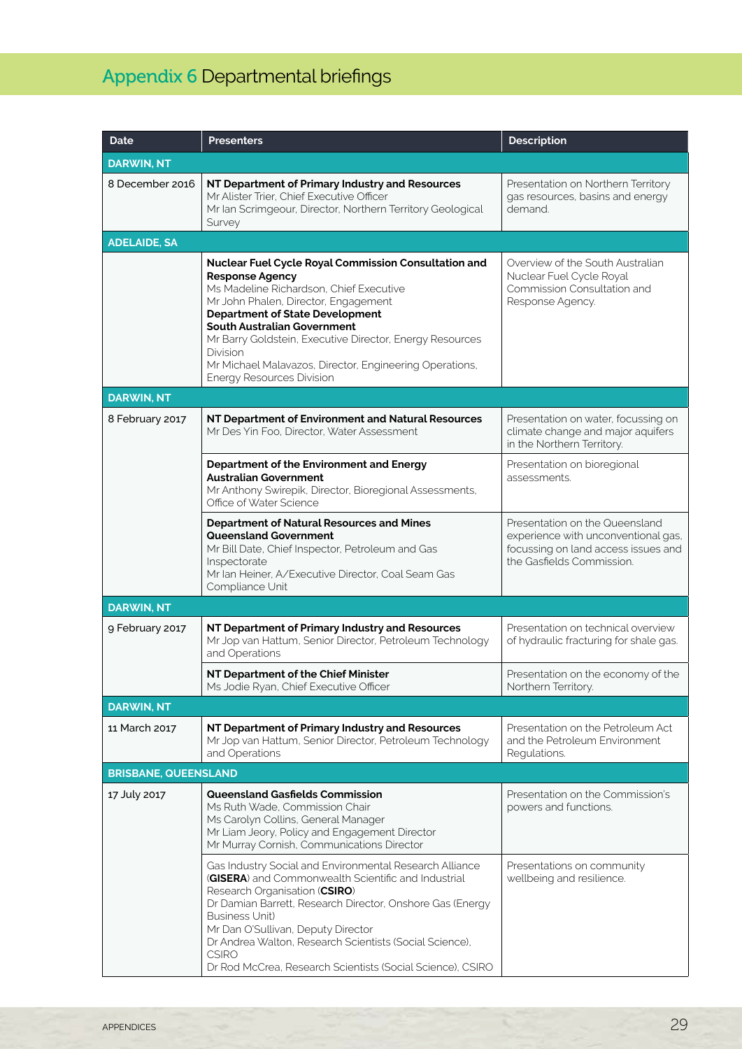## Appendix 6 Departmental briefings

| Date                        | <b>Presenters</b>                                                                                                                                                                                                                                                                                                                                                                                                    | <b>Description</b>                                                                                                                        |  |  |
|-----------------------------|----------------------------------------------------------------------------------------------------------------------------------------------------------------------------------------------------------------------------------------------------------------------------------------------------------------------------------------------------------------------------------------------------------------------|-------------------------------------------------------------------------------------------------------------------------------------------|--|--|
| <b>DARWIN, NT</b>           |                                                                                                                                                                                                                                                                                                                                                                                                                      |                                                                                                                                           |  |  |
| 8 December 2016             | NT Department of Primary Industry and Resources<br>Mr Alister Trier, Chief Executive Officer<br>Mr Ian Scrimgeour, Director, Northern Territory Geological<br>Survey                                                                                                                                                                                                                                                 | Presentation on Northern Territory<br>gas resources, basins and energy<br>demand                                                          |  |  |
| <b>ADELAIDE, SA</b>         |                                                                                                                                                                                                                                                                                                                                                                                                                      |                                                                                                                                           |  |  |
|                             | Nuclear Fuel Cycle Royal Commission Consultation and<br><b>Response Agency</b><br>Ms Madeline Richardson, Chief Executive<br>Mr John Phalen, Director, Engagement<br><b>Department of State Development</b><br>South Australian Government<br>Mr Barry Goldstein, Executive Director, Energy Resources<br>Division<br>Mr Michael Malavazos, Director, Engineering Operations,<br><b>Energy Resources Division</b>    | Overview of the South Australian<br>Nuclear Fuel Cycle Royal<br>Commission Consultation and<br>Response Agency.                           |  |  |
| <b>DARWIN, NT</b>           |                                                                                                                                                                                                                                                                                                                                                                                                                      |                                                                                                                                           |  |  |
| 8 February 2017             | NT Department of Environment and Natural Resources<br>Mr Des Yin Foo, Director, Water Assessment                                                                                                                                                                                                                                                                                                                     | Presentation on water, focussing on<br>climate change and major aquifers<br>in the Northern Territory.                                    |  |  |
|                             | Department of the Environment and Energy<br><b>Australian Government</b><br>Mr Anthony Swirepik, Director, Bioregional Assessments,<br>Office of Water Science                                                                                                                                                                                                                                                       | Presentation on bioregional<br>assessments.                                                                                               |  |  |
|                             | <b>Department of Natural Resources and Mines</b><br>Queensland Government<br>Mr Bill Date, Chief Inspector, Petroleum and Gas<br>Inspectorate<br>Mr Ian Heiner, A/Executive Director, Coal Seam Gas<br>Compliance Unit                                                                                                                                                                                               | Presentation on the Queensland<br>experience with unconventional gas,<br>focussing on land access issues and<br>the Gasfields Commission. |  |  |
| <b>DARWIN, NT</b>           |                                                                                                                                                                                                                                                                                                                                                                                                                      |                                                                                                                                           |  |  |
| 9 February 2017             | NT Department of Primary Industry and Resources<br>Mr Jop van Hattum, Senior Director, Petroleum Technology<br>and Operations                                                                                                                                                                                                                                                                                        | Presentation on technical overview<br>of hydraulic fracturing for shale gas.                                                              |  |  |
|                             | NT Department of the Chief Minister<br>Ms Jodie Ryan, Chief Executive Officer                                                                                                                                                                                                                                                                                                                                        | Presentation on the economy of the<br>Northern Territory.                                                                                 |  |  |
| <b>DARWIN, NT</b>           |                                                                                                                                                                                                                                                                                                                                                                                                                      |                                                                                                                                           |  |  |
| 11 March 2017               | NT Department of Primary Industry and Resources<br>Mr Jop van Hattum, Senior Director, Petroleum Technology<br>and Operations                                                                                                                                                                                                                                                                                        | Presentation on the Petroleum Act<br>and the Petroleum Environment<br>Regulations.                                                        |  |  |
| <b>BRISBANE, QUEENSLAND</b> |                                                                                                                                                                                                                                                                                                                                                                                                                      |                                                                                                                                           |  |  |
| 17 July 2017                | <b>Queensland Gasfields Commission</b><br>Ms Ruth Wade, Commission Chair<br>Ms Carolyn Collins, General Manager<br>Mr Liam Jeory, Policy and Engagement Director<br>Mr Murray Cornish, Communications Director                                                                                                                                                                                                       | Presentation on the Commission's<br>powers and functions.                                                                                 |  |  |
|                             | Gas Industry Social and Environmental Research Alliance<br>(GISERA) and Commonwealth Scientific and Industrial<br>Research Organisation (CSIRO)<br>Dr Damian Barrett, Research Director, Onshore Gas (Energy<br><b>Business Unit)</b><br>Mr Dan O'Sullivan, Deputy Director<br>Dr Andrea Walton, Research Scientists (Social Science),<br><b>CSIRO</b><br>Dr Rod McCrea, Research Scientists (Social Science), CSIRO | Presentations on community<br>wellbeing and resilience.                                                                                   |  |  |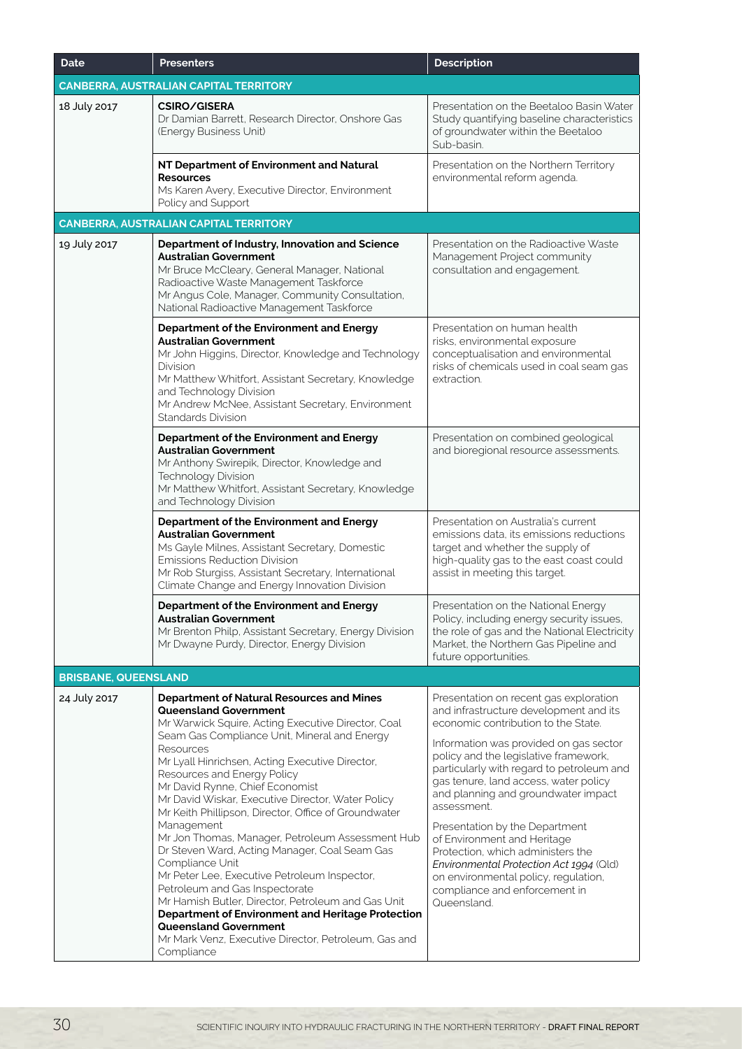| <b>Date</b>                 | <b>Presenters</b>                                                                                                                                                                                                                                                                                                                                                                                                                                                                                                                                                                                                                                                                                                                                                                                                                                                       | <b>Description</b>                                                                                                                                                                                                                                                                                                                                                                                                                                                                                                                                                                              |
|-----------------------------|-------------------------------------------------------------------------------------------------------------------------------------------------------------------------------------------------------------------------------------------------------------------------------------------------------------------------------------------------------------------------------------------------------------------------------------------------------------------------------------------------------------------------------------------------------------------------------------------------------------------------------------------------------------------------------------------------------------------------------------------------------------------------------------------------------------------------------------------------------------------------|-------------------------------------------------------------------------------------------------------------------------------------------------------------------------------------------------------------------------------------------------------------------------------------------------------------------------------------------------------------------------------------------------------------------------------------------------------------------------------------------------------------------------------------------------------------------------------------------------|
|                             | <b>CANBERRA, AUSTRALIAN CAPITAL TERRITORY</b>                                                                                                                                                                                                                                                                                                                                                                                                                                                                                                                                                                                                                                                                                                                                                                                                                           |                                                                                                                                                                                                                                                                                                                                                                                                                                                                                                                                                                                                 |
| 18 July 2017                | <b>CSIRO/GISERA</b><br>Dr Damian Barrett, Research Director, Onshore Gas<br>(Energy Business Unit)                                                                                                                                                                                                                                                                                                                                                                                                                                                                                                                                                                                                                                                                                                                                                                      | Presentation on the Beetaloo Basin Water<br>Study quantifying baseline characteristics<br>of groundwater within the Beetaloo<br>Sub-basin.                                                                                                                                                                                                                                                                                                                                                                                                                                                      |
|                             | NT Department of Environment and Natural<br><b>Resources</b><br>Ms Karen Avery, Executive Director, Environment<br>Policy and Support                                                                                                                                                                                                                                                                                                                                                                                                                                                                                                                                                                                                                                                                                                                                   | Presentation on the Northern Territory<br>environmental reform agenda.                                                                                                                                                                                                                                                                                                                                                                                                                                                                                                                          |
|                             | <b>CANBERRA, AUSTRALIAN CAPITAL TERRITORY</b>                                                                                                                                                                                                                                                                                                                                                                                                                                                                                                                                                                                                                                                                                                                                                                                                                           |                                                                                                                                                                                                                                                                                                                                                                                                                                                                                                                                                                                                 |
| 19 July 2017                | Department of Industry, Innovation and Science<br><b>Australian Government</b><br>Mr Bruce McCleary, General Manager, National<br>Radioactive Waste Management Taskforce<br>Mr Angus Cole, Manager, Community Consultation,<br>National Radioactive Management Taskforce                                                                                                                                                                                                                                                                                                                                                                                                                                                                                                                                                                                                | Presentation on the Radioactive Waste<br>Management Project community<br>consultation and engagement.                                                                                                                                                                                                                                                                                                                                                                                                                                                                                           |
|                             | Department of the Environment and Energy<br><b>Australian Government</b><br>Mr John Higgins, Director, Knowledge and Technology<br>Division<br>Mr Matthew Whitfort, Assistant Secretary, Knowledge<br>and Technology Division<br>Mr Andrew McNee, Assistant Secretary, Environment<br>Standards Division                                                                                                                                                                                                                                                                                                                                                                                                                                                                                                                                                                | Presentation on human health<br>risks, environmental exposure<br>conceptualisation and environmental<br>risks of chemicals used in coal seam gas<br>extraction.                                                                                                                                                                                                                                                                                                                                                                                                                                 |
|                             | Department of the Environment and Energy<br><b>Australian Government</b><br>Mr Anthony Swirepik, Director, Knowledge and<br>Technology Division<br>Mr Matthew Whitfort, Assistant Secretary, Knowledge<br>and Technology Division                                                                                                                                                                                                                                                                                                                                                                                                                                                                                                                                                                                                                                       | Presentation on combined geological<br>and bioregional resource assessments.                                                                                                                                                                                                                                                                                                                                                                                                                                                                                                                    |
|                             | Department of the Environment and Energy<br><b>Australian Government</b><br>Ms Gayle Milnes, Assistant Secretary, Domestic<br><b>Emissions Reduction Division</b><br>Mr Rob Sturgiss, Assistant Secretary, International<br>Climate Change and Energy Innovation Division                                                                                                                                                                                                                                                                                                                                                                                                                                                                                                                                                                                               | Presentation on Australia's current<br>emissions data, its emissions reductions<br>target and whether the supply of<br>high-quality gas to the east coast could<br>assist in meeting this target.                                                                                                                                                                                                                                                                                                                                                                                               |
|                             | Department of the Environment and Energy<br><b>Australian Government</b><br>Mr Brenton Philp, Assistant Secretary, Energy Division<br>Mr Dwayne Purdy, Director, Energy Division                                                                                                                                                                                                                                                                                                                                                                                                                                                                                                                                                                                                                                                                                        | Presentation on the National Energy<br>Policy, including energy security issues,<br>the role of gas and the National Electricity<br>Market, the Northern Gas Pipeline and<br>future opportunities.                                                                                                                                                                                                                                                                                                                                                                                              |
| <b>BRISBANE, QUEENSLAND</b> |                                                                                                                                                                                                                                                                                                                                                                                                                                                                                                                                                                                                                                                                                                                                                                                                                                                                         |                                                                                                                                                                                                                                                                                                                                                                                                                                                                                                                                                                                                 |
| 24 July 2017                | <b>Department of Natural Resources and Mines</b><br><b>Queensland Government</b><br>Mr Warwick Squire, Acting Executive Director, Coal<br>Seam Gas Compliance Unit, Mineral and Energy<br>Resources<br>Mr Lyall Hinrichsen, Acting Executive Director,<br>Resources and Energy Policy<br>Mr David Rynne, Chief Economist<br>Mr David Wiskar, Executive Director, Water Policy<br>Mr Keith Phillipson, Director, Office of Groundwater<br>Management<br>Mr Jon Thomas, Manager, Petroleum Assessment Hub<br>Dr Steven Ward, Acting Manager, Coal Seam Gas<br>Compliance Unit<br>Mr Peter Lee, Executive Petroleum Inspector,<br>Petroleum and Gas Inspectorate<br>Mr Hamish Butler, Director, Petroleum and Gas Unit<br>Department of Environment and Heritage Protection<br>Queensland Government<br>Mr Mark Venz, Executive Director, Petroleum, Gas and<br>Compliance | Presentation on recent gas exploration<br>and infrastructure development and its<br>economic contribution to the State.<br>Information was provided on gas sector<br>policy and the legislative framework,<br>particularly with regard to petroleum and<br>gas tenure, land access, water policy<br>and planning and groundwater impact<br>assessment.<br>Presentation by the Department<br>of Environment and Heritage<br>Protection, which administers the<br>Environmental Protection Act 1994 (Qld)<br>on environmental policy, regulation,<br>compliance and enforcement in<br>Queensland. |